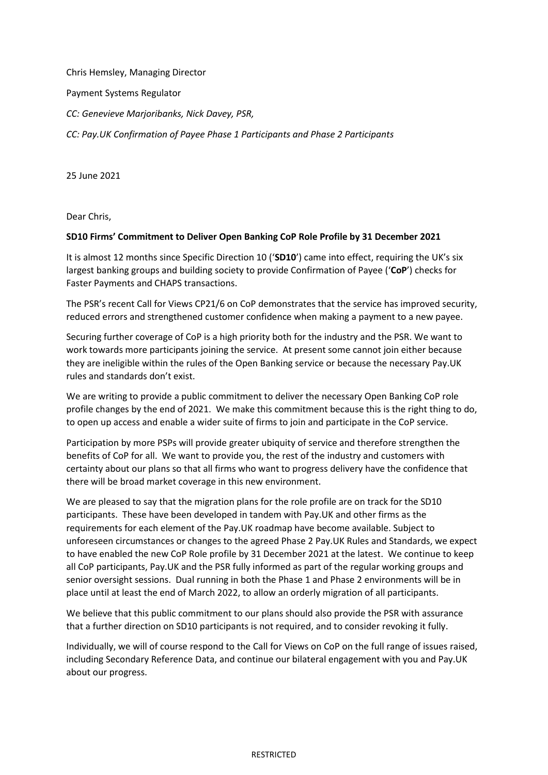Chris Hemsley, Managing Director

Payment Systems Regulator

*CC: Genevieve Marjoribanks, Nick Davey, PSR,* 

*CC: Pay.UK Confirmation of Payee Phase 1 Participants and Phase 2 Participants* 

25 June 2021

Dear Chris,

## **SD10 Firms' Commitment to Deliver Open Banking CoP Role Profile by 31 December 2021**

It is almost 12 months since Specific Direction 10 ('**SD10**') came into effect, requiring the UK's six largest banking groups and building society to provide Confirmation of Payee ('**CoP**') checks for Faster Payments and CHAPS transactions.

The PSR's recent Call for Views CP21/6 on CoP demonstrates that the service has improved security, reduced errors and strengthened customer confidence when making a payment to a new payee.

Securing further coverage of CoP is a high priority both for the industry and the PSR. We want to work towards more participants joining the service. At present some cannot join either because they are ineligible within the rules of the Open Banking service or because the necessary Pay.UK rules and standards don't exist.

We are writing to provide a public commitment to deliver the necessary Open Banking CoP role profile changes by the end of 2021. We make this commitment because this is the right thing to do, to open up access and enable a wider suite of firms to join and participate in the CoP service.

Participation by more PSPs will provide greater ubiquity of service and therefore strengthen the benefits of CoP for all. We want to provide you, the rest of the industry and customers with certainty about our plans so that all firms who want to progress delivery have the confidence that there will be broad market coverage in this new environment.

We are pleased to say that the migration plans for the role profile are on track for the SD10 participants. These have been developed in tandem with Pay.UK and other firms as the requirements for each element of the Pay.UK roadmap have become available. Subject to unforeseen circumstances or changes to the agreed Phase 2 Pay.UK Rules and Standards, we expect to have enabled the new CoP Role profile by 31 December 2021 at the latest. We continue to keep all CoP participants, Pay.UK and the PSR fully informed as part of the regular working groups and senior oversight sessions. Dual running in both the Phase 1 and Phase 2 environments will be in place until at least the end of March 2022, to allow an orderly migration of all participants.

We believe that this public commitment to our plans should also provide the PSR with assurance that a further direction on SD10 participants is not required, and to consider revoking it fully.

Individually, we will of course respond to the Call for Views on CoP on the full range of issues raised, including Secondary Reference Data, and continue our bilateral engagement with you and Pay.UK about our progress.